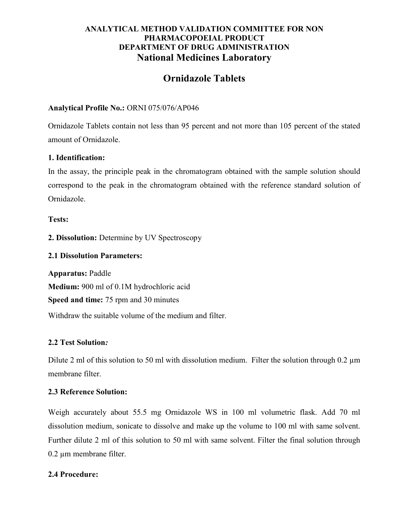# ANALYTICAL METHOD VALIDATION COMMITTEE FOR NON PHARMACOPOEIAL PRODUCT DEPARTMENT OF DRUG ADMINISTRATION National Medicines Laboratory

# Ornidazole Tablets

# Analytical Profile No.: ORNI 075/076/AP046

Ornidazole Tablets contain not less than 95 percent and not more than 105 percent of the stated amount of Ornidazole.

## 1. Identification:

In the assay, the principle peak in the chromatogram obtained with the sample solution should correspond to the peak in the chromatogram obtained with the reference standard solution of Ornidazole.

Tests:

2. Dissolution: Determine by UV Spectroscopy

# 2.1 Dissolution Parameters:

Apparatus: Paddle Medium: 900 ml of 0.1M hydrochloric acid Speed and time: 75 rpm and 30 minutes Withdraw the suitable volume of the medium and filter.

# 2.2 Test Solution:

Dilute 2 ml of this solution to 50 ml with dissolution medium. Filter the solution through 0.2  $\mu$ m membrane filter.

#### 2.3 Reference Solution:

Weigh accurately about 55.5 mg Ornidazole WS in 100 ml volumetric flask. Add 70 ml dissolution medium, sonicate to dissolve and make up the volume to 100 ml with same solvent. Further dilute 2 ml of this solution to 50 ml with same solvent. Filter the final solution through 0.2 µm membrane filter.

# 2.4 Procedure: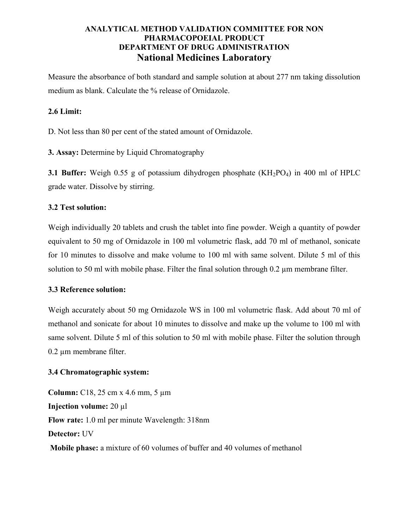# ANALYTICAL METHOD VALIDATION COMMITTEE FOR NON PHARMACOPOEIAL PRODUCT DEPARTMENT OF DRUG ADMINISTRATION National Medicines Laboratory

Measure the absorbance of both standard and sample solution at about 277 nm taking dissolution medium as blank. Calculate the % release of Ornidazole.

## 2.6 Limit:

D. Not less than 80 per cent of the stated amount of Ornidazole.

3. Assay: Determine by Liquid Chromatography

**3.1 Buffer:** Weigh 0.55 g of potassium dihydrogen phosphate  $(KH_2PO_4)$  in 400 ml of HPLC grade water. Dissolve by stirring.

## 3.2 Test solution:

Weigh individually 20 tablets and crush the tablet into fine powder. Weigh a quantity of powder equivalent to 50 mg of Ornidazole in 100 ml volumetric flask, add 70 ml of methanol, sonicate for 10 minutes to dissolve and make volume to 100 ml with same solvent. Dilute 5 ml of this solution to 50 ml with mobile phase. Filter the final solution through 0.2  $\mu$ m membrane filter.

#### 3.3 Reference solution:

Weigh accurately about 50 mg Ornidazole WS in 100 ml volumetric flask. Add about 70 ml of methanol and sonicate for about 10 minutes to dissolve and make up the volume to 100 ml with same solvent. Dilute 5 ml of this solution to 50 ml with mobile phase. Filter the solution through 0.2 µm membrane filter.

#### 3.4 Chromatographic system:

Column: C18, 25 cm x 4.6 mm, 5 µm Injection volume: 20 µl Flow rate: 1.0 ml per minute Wavelength: 318nm Detector: UV Mobile phase: a mixture of 60 volumes of buffer and 40 volumes of methanol